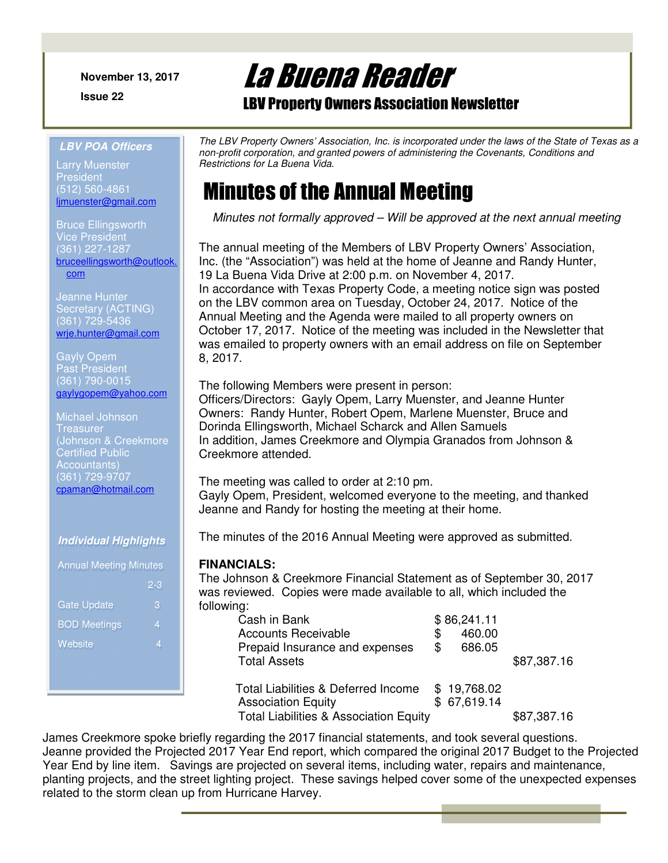**November 13, 2017**

**Issue 22** 

La Buena Reader

LBV Property Owners Association Newsletter

#### **LBV POA Officers**

Larry Muenster **President** (512) 560-4861 ljmuenster@gmail.com

Bruce Ellingsworth Vice President (361) 227-1287 bruceellingsworth@outlook. com

Jeanne Hunter Secretary (ACTING) (361) 729-5436 wrje.hunter@gmail.com

Gayly Opem Past President (361) 790-0015 gaylygopem@yahoo.com

Michael Johnson **Treasurer** (Johnson & Creekmore Certified Public Accountants) (361) 729-9707 cpaman@hotmail.com

### **Individual Highlights**

| <b>Annual Meeting Minutes</b> |         |  |  |
|-------------------------------|---------|--|--|
|                               | $2 - 3$ |  |  |
| <b>Gate Update</b>            | 3       |  |  |
| <b>BOD Meetings</b>           | 4       |  |  |
| Website                       | 4       |  |  |
|                               |         |  |  |

*The LBV Property Owners' Association, Inc. is incorporated under the laws of the State of Texas as a non-profit corporation, and granted powers of administering the Covenants, Conditions and Restrictions for La Buena Vida.* 

# Minutes of the Annual Meeting

*Minutes not formally approved – Will be approved at the next annual meeting* 

The annual meeting of the Members of LBV Property Owners' Association, Inc. (the "Association") was held at the home of Jeanne and Randy Hunter, 19 La Buena Vida Drive at 2:00 p.m. on November 4, 2017. In accordance with Texas Property Code, a meeting notice sign was posted on the LBV common area on Tuesday, October 24, 2017. Notice of the Annual Meeting and the Agenda were mailed to all property owners on October 17, 2017. Notice of the meeting was included in the Newsletter that was emailed to property owners with an email address on file on September 8, 2017.

The following Members were present in person: Officers/Directors: Gayly Opem, Larry Muenster, and Jeanne Hunter Owners: Randy Hunter, Robert Opem, Marlene Muenster, Bruce and Dorinda Ellingsworth, Michael Scharck and Allen Samuels In addition, James Creekmore and Olympia Granados from Johnson & Creekmore attended.

The meeting was called to order at 2:10 pm. Gayly Opem, President, welcomed everyone to the meeting, and thanked Jeanne and Randy for hosting the meeting at their home.

The minutes of the 2016 Annual Meeting were approved as submitted.

### **FINANCIALS:**

The Johnson & Creekmore Financial Statement as of September 30, 2017 was reviewed. Copies were made available to all, which included the following:

| Cash in Bank                                      |     | \$86,241.11 |             |
|---------------------------------------------------|-----|-------------|-------------|
| <b>Accounts Receivable</b>                        | \$  | 460.00      |             |
| Prepaid Insurance and expenses                    | \$. | 686.05      |             |
| <b>Total Assets</b>                               |     |             | \$87,387.16 |
| Total Liabilities & Deferred Income               |     | \$19,768.02 |             |
| <b>Association Equity</b>                         |     | \$67,619.14 |             |
| <b>Total Liabilities &amp; Association Equity</b> |     |             | \$87,387.16 |

James Creekmore spoke briefly regarding the 2017 financial statements, and took several questions. Jeanne provided the Projected 2017 Year End report, which compared the original 2017 Budget to the Projected Year End by line item. Savings are projected on several items, including water, repairs and maintenance, planting projects, and the street lighting project. These savings helped cover some of the unexpected expenses related to the storm clean up from Hurricane Harvey.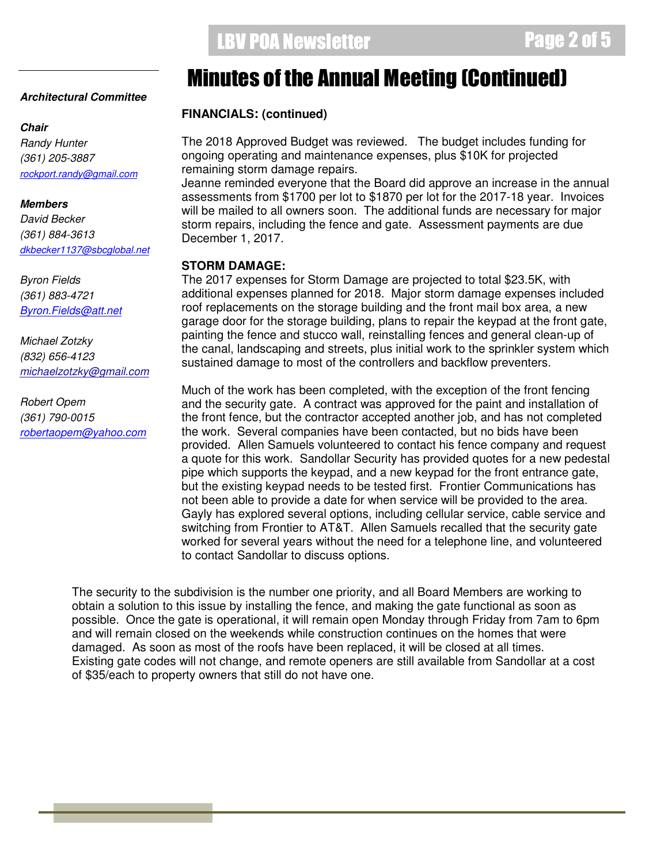#### **Architectural Committee**

#### **Chair**

*Randy Hunter (361) 205-3887 rockport.randy@gmail.com*

#### **Members**

*David Becker (361) 884-3613 dkbecker1137@sbcglobal.net*

*Byron Fields (361) 883-4721 Byron.Fields@att.net*

*Michael Zotzky (832) 656-4123 michaelzotzky@gmail.com* 

*Robert Opem (361) 790-0015 robertaopem@yahoo.com*

# Minutes of the Annual Meeting (Continued)

#### **FINANCIALS: (continued)**  .<br>Ei

The 2018 Approved Budget was reviewed. The budget includes funding for ongoing operating and maintenance expenses, plus \$10K for projected remaining storm damage repairs.

Jeanne reminded everyone that the Board did approve an increase in the annual assessments from \$1700 per lot to \$1870 per lot for the 2017-18 year. Invoices will be mailed to all owners soon. The additional funds are necessary for major storm repairs, including the fence and gate. Assessment payments are due December 1, 2017.

### **STORM DAMAGE:**

The 2017 expenses for Storm Damage are projected to total \$23.5K, with additional expenses planned for 2018. Major storm damage expenses included roof replacements on the storage building and the front mail box area, a new garage door for the storage building, plans to repair the keypad at the front gate, painting the fence and stucco wall, reinstalling fences and general clean-up of the canal, landscaping and streets, plus initial work to the sprinkler system which sustained damage to most of the controllers and backflow preventers.

Much of the work has been completed, with the exception of the front fencing and the security gate. A contract was approved for the paint and installation of the front fence, but the contractor accepted another job, and has not completed the work. Several companies have been contacted, but no bids have been provided. Allen Samuels volunteered to contact his fence company and request a quote for this work. Sandollar Security has provided quotes for a new pedestal pipe which supports the keypad, and a new keypad for the front entrance gate, but the existing keypad needs to be tested first. Frontier Communications has not been able to provide a date for when service will be provided to the area. Gayly has explored several options, including cellular service, cable service and switching from Frontier to AT&T. Allen Samuels recalled that the security gate worked for several years without the need for a telephone line, and volunteered to contact Sandollar to discuss options.

The security to the subdivision is the number one priority, and all Board Members are working to obtain a solution to this issue by installing the fence, and making the gate functional as soon as possible. Once the gate is operational, it will remain open Monday through Friday from 7am to 6pm and will remain closed on the weekends while construction continues on the homes that were damaged. As soon as most of the roofs have been replaced, it will be closed at all times. Existing gate codes will not change, and remote openers are still available from Sandollar at a cost of \$35/each to property owners that still do not have one.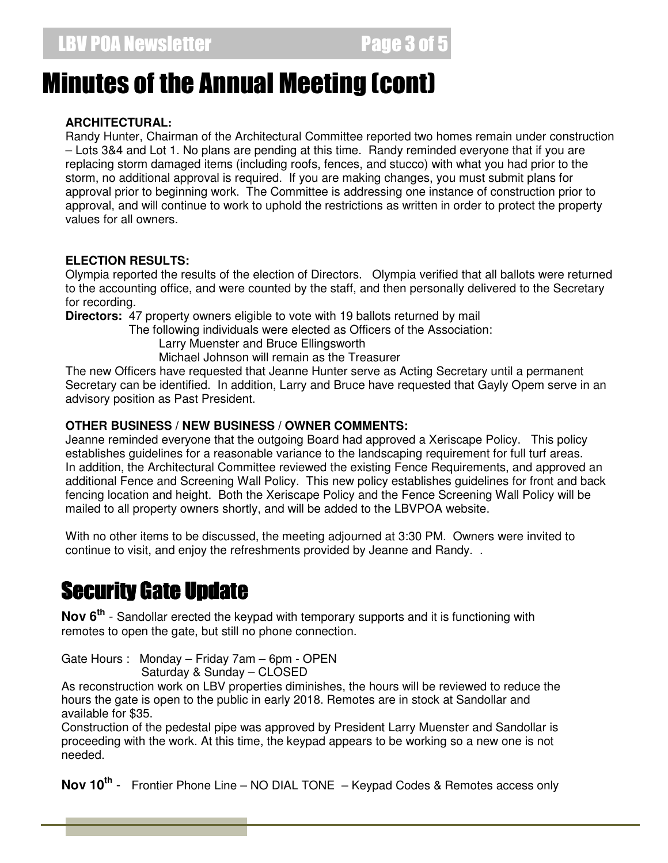# Minutes of the Annual Meeting (cont)

### **ARCHITECTURAL:**

Randy Hunter, Chairman of the Architectural Committee reported two homes remain under construction – Lots 3&4 and Lot 1. No plans are pending at this time. Randy reminded everyone that if you are replacing storm damaged items (including roofs, fences, and stucco) with what you had prior to the storm, no additional approval is required. If you are making changes, you must submit plans for approval prior to beginning work. The Committee is addressing one instance of construction prior to approval, and will continue to work to uphold the restrictions as written in order to protect the property values for all owners.

### **ELECTION RESULTS:**

Olympia reported the results of the election of Directors. Olympia verified that all ballots were returned to the accounting office, and were counted by the staff, and then personally delivered to the Secretary for recording.

**Directors:** 47 property owners eligible to vote with 19 ballots returned by mail

The following individuals were elected as Officers of the Association:

Larry Muenster and Bruce Ellingsworth

Michael Johnson will remain as the Treasurer

The new Officers have requested that Jeanne Hunter serve as Acting Secretary until a permanent Secretary can be identified. In addition, Larry and Bruce have requested that Gayly Opem serve in an advisory position as Past President.

### **OTHER BUSINESS / NEW BUSINESS / OWNER COMMENTS:**

Jeanne reminded everyone that the outgoing Board had approved a Xeriscape Policy. This policy establishes guidelines for a reasonable variance to the landscaping requirement for full turf areas. In addition, the Architectural Committee reviewed the existing Fence Requirements, and approved an additional Fence and Screening Wall Policy. This new policy establishes guidelines for front and back fencing location and height. Both the Xeriscape Policy and the Fence Screening Wall Policy will be mailed to all property owners shortly, and will be added to the LBVPOA website.

With no other items to be discussed, the meeting adjourned at 3:30 PM. Owners were invited to continue to visit, and enjoy the refreshments provided by Jeanne and Randy. .

# Security Gate Update

**Nov 6th** - Sandollar erected the keypad with temporary supports and it is functioning with remotes to open the gate, but still no phone connection.

Gate Hours : Monday – Friday 7am – 6pm - OPEN Saturday & Sunday – CLOSED

As reconstruction work on LBV properties diminishes, the hours will be reviewed to reduce the hours the gate is open to the public in early 2018. Remotes are in stock at Sandollar and available for \$35.

Construction of the pedestal pipe was approved by President Larry Muenster and Sandollar is proceeding with the work. At this time, the keypad appears to be working so a new one is not needed.

**Nov 10th** - Frontier Phone Line – NO DIAL TONE – Keypad Codes & Remotes access only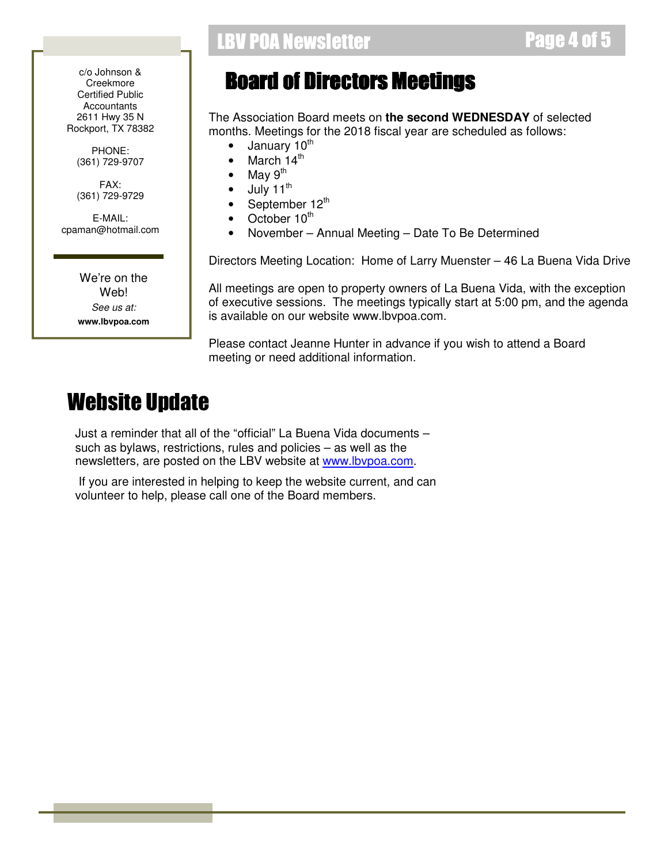c/o Johnson & **Creekmore** Certified Public Accountants 2611 Hwy 35 N Rockport, TX 78382

PHONE: (361) 729-9707

FAX: (361) 729-9729

E-MAIL: cpaman@hotmail.com

> We're on the Web! *See us at:*  **www.lbvpoa.com**

### LBV POA Newsletter **Example 10** and 5 and 5 and 5 and 5 and 5 and 5 and 5 and 5 and 5 and 5 and 5 and 5 and 5 and 5 and 5 and 5 and 5 and 5 and 5 and 5 and 5 and 5 and 5 and 5 and 5 and 5 and 5 and 5 and 5 and 5 and 5 and

# **Board of Directors Meetings**

The Association Board meets on **the second WEDNESDAY** of selected months. Meetings for the 2018 fiscal year are scheduled as follows:

- $\bullet$  January 10<sup>th</sup>
- March  $14<sup>th</sup>$
- May  $9<sup>th</sup>$
- July 11<sup>th</sup>
- September 12<sup>th</sup>
- October 10<sup>th</sup>
- November Annual Meeting Date To Be Determined

Directors Meeting Location: Home of Larry Muenster – 46 La Buena Vida Drive

All meetings are open to property owners of La Buena Vida, with the exception of executive sessions. The meetings typically start at 5:00 pm, and the agenda is available on our website www.lbvpoa.com.

Please contact Jeanne Hunter in advance if you wish to attend a Board meeting or need additional information.

# Website Update

Just a reminder that all of the "official" La Buena Vida documents – such as bylaws, restrictions, rules and policies – as well as the newsletters, are posted on the LBV website at www.lbvpoa.com.

 If you are interested in helping to keep the website current, and can volunteer to help, please call one of the Board members.